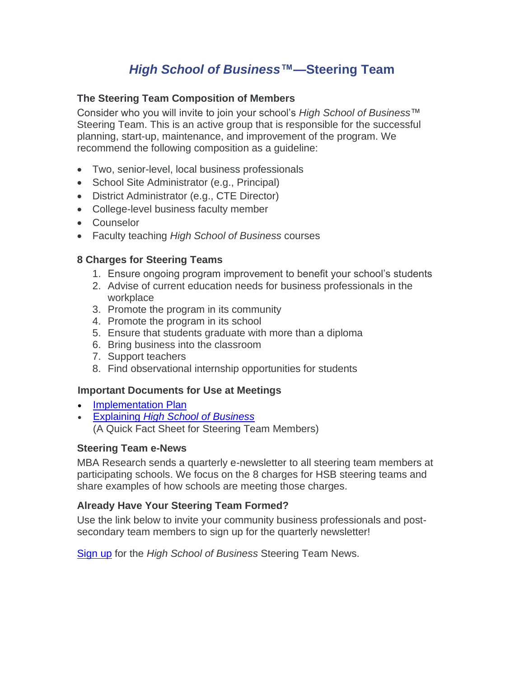# *High School of Business***™—Steering Team**

## **The Steering Team Composition of Members**

Consider who you will invite to join your school's *High School of Business*™ Steering Team. This is an active group that is responsible for the successful planning, start-up, maintenance, and improvement of the program. We recommend the following composition as a guideline:

- Two, senior-level, local business professionals
- School Site Administrator (e.g., Principal)
- District Administrator (e.g., CTE Director)
- College-level business faculty member
- Counselor
- Faculty teaching *High School of Business* courses

## **8 Charges for Steering Teams**

- 1. Ensure ongoing program improvement to benefit your school's students
- 2. Advise of current education needs for business professionals in the workplace
- 3. Promote the program in its community
- 4. Promote the program in its school
- 5. Ensure that students graduate with more than a diploma
- 6. Bring business into the classroom
- 7. Support teachers
- 8. Find observational internship opportunities for students

#### **Important Documents for Use at Meetings**

- [Implementation](https://www.mbaresearch.org/wp-content/uploads/2022/01/HSB_ImplemPlan_12_21.pdf) Plan
- Explaining *[High School of Business](https://www.mbaresearch.org/wp-content/uploads/2022/01/Explaining-High-School-of-Business.pdf)* (A Quick Fact Sheet for Steering Team Members)

#### **Steering Team e-News**

MBA Research sends a quarterly e-newsletter to all steering team members at participating schools. We focus on the 8 charges for HSB steering teams and share examples of how schools are meeting those charges.

#### **Already Have Your Steering Team Formed?**

Use the link below to invite your community business professionals and postsecondary team members to sign up for the quarterly newsletter!

[Sign](https://mbaresearch.app.neoncrm.com/np/clients/mbaresearch/subscribe.jsp?subscription=44&) up for the *High School of Business* Steering Team News.